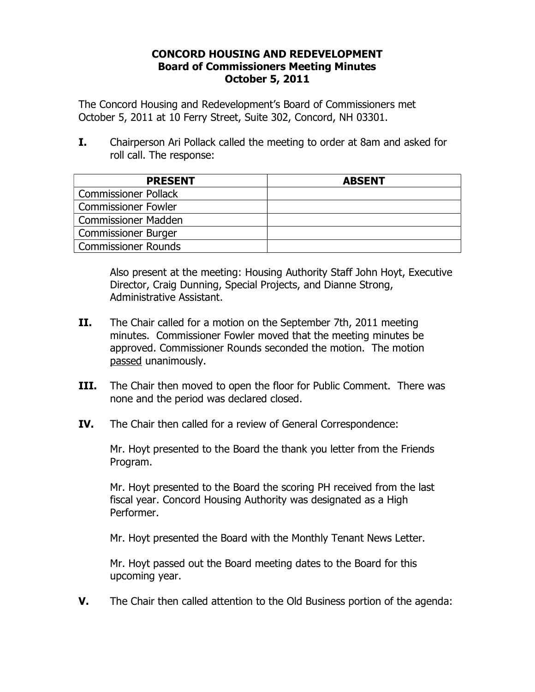#### **CONCORD HOUSING AND REDEVELOPMENT Board of Commissioners Meeting Minutes October 5, 2011**

The Concord Housing and Redevelopment's Board of Commissioners met October 5, 2011 at 10 Ferry Street, Suite 302, Concord, NH 03301.

**I.** Chairperson Ari Pollack called the meeting to order at 8am and asked for roll call. The response:

| <b>PRESENT</b>              | <b>ABSENT</b> |
|-----------------------------|---------------|
| <b>Commissioner Pollack</b> |               |
| <b>Commissioner Fowler</b>  |               |
| <b>Commissioner Madden</b>  |               |
| <b>Commissioner Burger</b>  |               |
| Commissioner Rounds         |               |

Also present at the meeting: Housing Authority Staff John Hoyt, Executive Director, Craig Dunning, Special Projects, and Dianne Strong, Administrative Assistant.

- **II.** The Chair called for a motion on the September 7th, 2011 meeting minutes. Commissioner Fowler moved that the meeting minutes be approved. Commissioner Rounds seconded the motion. The motion passed unanimously.
- **III.** The Chair then moved to open the floor for Public Comment. There was none and the period was declared closed.
- **IV.** The Chair then called for a review of General Correspondence:

 Mr. Hoyt presented to the Board the thank you letter from the Friends Program.

 Mr. Hoyt presented to the Board the scoring PH received from the last fiscal year. Concord Housing Authority was designated as a High Performer.

Mr. Hoyt presented the Board with the Monthly Tenant News Letter.

 Mr. Hoyt passed out the Board meeting dates to the Board for this upcoming year.

**V.** The Chair then called attention to the Old Business portion of the agenda: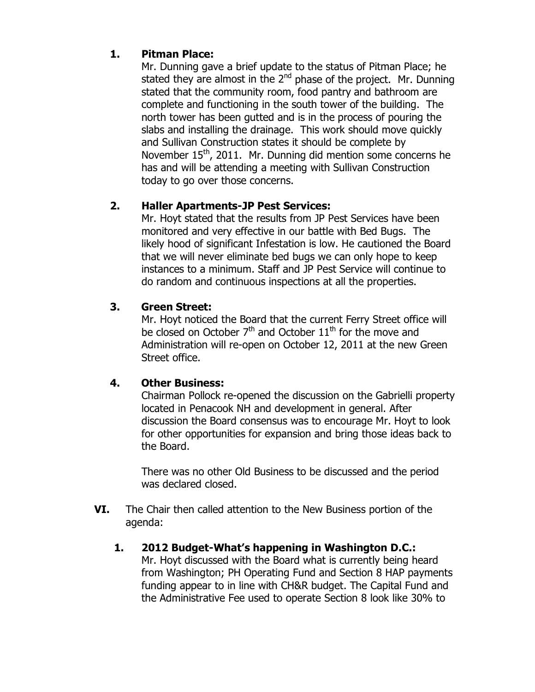# **1. Pitman Place:**

Mr. Dunning gave a brief update to the status of Pitman Place; he stated they are almost in the  $2^{nd}$  phase of the project. Mr. Dunning stated that the community room, food pantry and bathroom are complete and functioning in the south tower of the building. The north tower has been gutted and is in the process of pouring the slabs and installing the drainage. This work should move quickly and Sullivan Construction states it should be complete by November 15<sup>th</sup>, 2011. Mr. Dunning did mention some concerns he has and will be attending a meeting with Sullivan Construction today to go over those concerns.

# **2. Haller Apartments-JP Pest Services:**

Mr. Hoyt stated that the results from JP Pest Services have been monitored and very effective in our battle with Bed Bugs. The likely hood of significant Infestation is low. He cautioned the Board that we will never eliminate bed bugs we can only hope to keep instances to a minimum. Staff and JP Pest Service will continue to do random and continuous inspections at all the properties.

# **3. Green Street:**

Mr. Hoyt noticed the Board that the current Ferry Street office will be closed on October  $7<sup>th</sup>$  and October  $11<sup>th</sup>$  for the move and Administration will re-open on October 12, 2011 at the new Green Street office.

# **4. Other Business:**

Chairman Pollock re-opened the discussion on the Gabrielli property located in Penacook NH and development in general. After discussion the Board consensus was to encourage Mr. Hoyt to look for other opportunities for expansion and bring those ideas back to the Board.

There was no other Old Business to be discussed and the period was declared closed.

- **VI.** The Chair then called attention to the New Business portion of the agenda:
	- **1. 2012 Budget-What's happening in Washington D.C.:**  Mr. Hoyt discussed with the Board what is currently being heard from Washington; PH Operating Fund and Section 8 HAP payments funding appear to in line with CH&R budget. The Capital Fund and the Administrative Fee used to operate Section 8 look like 30% to